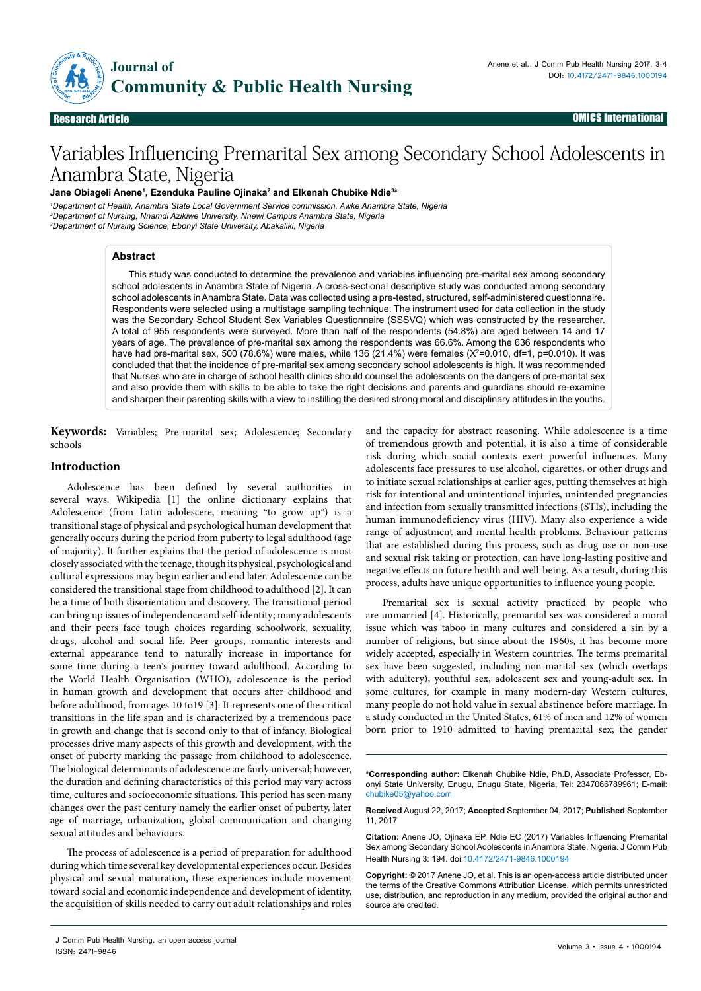

# Variables Influencing Premarital Sex among Secondary School Adolescents in Anambra State, Nigeria

#### Jane Obiageli Anene<sup>1</sup>, Ezenduka Pauline Ojinaka<sup>2</sup> and Elkenah Chubike Ndie<sup>3</sup>\*

*1 Department of Health, Anambra State Local Government Service commission, Awke Anambra State, Nigeria 2 Department of Nursing, Nnamdi Azikiwe University, Nnewi Campus Anambra State, Nigeria 3 Department of Nursing Science, Ebonyi State University, Abakaliki, Nigeria*

#### **Abstract**

This study was conducted to determine the prevalence and variables influencing pre-marital sex among secondary school adolescents in Anambra State of Nigeria. A cross-sectional descriptive study was conducted among secondary school adolescents in Anambra State. Data was collected using a pre-tested, structured, self-administered questionnaire. Respondents were selected using a multistage sampling technique. The instrument used for data collection in the study was the Secondary School Student Sex Variables Questionnaire (SSSVQ) which was constructed by the researcher. A total of 955 respondents were surveyed. More than half of the respondents (54.8%) are aged between 14 and 17 years of age. The prevalence of pre-marital sex among the respondents was 66.6%. Among the 636 respondents who have had pre-marital sex, 500 (78.6%) were males, while 136 (21.4%) were females (X<sup>2</sup>=0.010, df=1, p=0.010). It was concluded that that the incidence of pre-marital sex among secondary school adolescents is high. It was recommended that Nurses who are in charge of school health clinics should counsel the adolescents on the dangers of pre-marital sex and also provide them with skills to be able to take the right decisions and parents and guardians should re-examine and sharpen their parenting skills with a view to instilling the desired strong moral and disciplinary attitudes in the youths.

**Keywords:** Variables; Pre-marital sex; Adolescence; Secondary schools

## **Introduction**

Adolescence has been defined by several authorities in several ways. Wikipedia [1] the online dictionary explains that Adolescence (from Latin adolescere, meaning "to grow up") is a transitional stage of physical and psychological human development that generally occurs during the period from puberty to legal adulthood (age of majority). It further explains that the period of adolescence is most closely associated with the teenage, though its physical, psychological and cultural expressions may begin earlier and end later. Adolescence can be considered the transitional stage from childhood to adulthood [2]. It can be a time of both disorientation and discovery. The transitional period can bring up issues of independence and self-identity; many adolescents and their peers face tough choices regarding schoolwork, sexuality, drugs, alcohol and social life. Peer groups, romantic interests and external appearance tend to naturally increase in importance for some time during a teen's journey toward adulthood. According to the World Health Organisation (WHO), adolescence is the period in human growth and development that occurs after childhood and before adulthood, from ages 10 to19 [3]. It represents one of the critical transitions in the life span and is characterized by a tremendous pace in growth and change that is second only to that of infancy. Biological processes drive many aspects of this growth and development, with the onset of puberty marking the passage from childhood to adolescence. The biological determinants of adolescence are fairly universal; however, the duration and defining characteristics of this period may vary across time, cultures and socioeconomic situations. This period has seen many changes over the past century namely the earlier onset of puberty, later age of marriage, urbanization, global communication and changing sexual attitudes and behaviours.

The process of adolescence is a period of preparation for adulthood during which time several key developmental experiences occur. Besides physical and sexual maturation, these experiences include movement toward social and economic independence and development of identity, the acquisition of skills needed to carry out adult relationships and roles and the capacity for abstract reasoning. While adolescence is a time of tremendous growth and potential, it is also a time of considerable risk during which social contexts exert powerful influences. Many adolescents face pressures to use alcohol, cigarettes, or other drugs and to initiate sexual relationships at earlier ages, putting themselves at high risk for intentional and unintentional injuries, unintended pregnancies and infection from sexually transmitted infections (STIs), including the human immunodeficiency virus (HIV). Many also experience a wide range of adjustment and mental health problems. Behaviour patterns that are established during this process, such as drug use or non-use and sexual risk taking or protection, can have long-lasting positive and negative effects on future health and well-being. As a result, during this process, adults have unique opportunities to influence young people.

Premarital sex is sexual activity practiced by people who are unmarried [4]. Historically, premarital sex was considered a moral issue which was taboo in many cultures and considered a sin by a number of religions, but since about the 1960s, it has become more widely accepted, especially in Western countries. The terms premarital sex have been suggested, including non-marital sex (which overlaps with adultery), youthful sex, adolescent sex and young-adult sex. In some cultures, for example in many modern-day Western cultures, many people do not hold value in sexual abstinence before marriage. In a study conducted in the United States, 61% of men and 12% of women born prior to 1910 admitted to having premarital sex; the gender

**Received** August 22, 2017; **Accepted** September 04, 2017; **Published** September 11, 2017

**Citation:** Anene JO, Ojinaka EP, Ndie EC (2017) Variables Influencing Premarital Sex among Secondary School Adolescents in Anambra State, Nigeria. J Comm Pub Health Nursing 3: 194. doi:10.4172/2471-9846.1000194

**Copyright:** © 2017 Anene JO, et al. This is an open-access article distributed under the terms of the Creative Commons Attribution License, which permits unrestricted use, distribution, and reproduction in any medium, provided the original author and source are credited.

J Comm Pub Health Nursing, an open access journal ISSN: 2471-9846

**<sup>\*</sup>Corresponding author:** Elkenah Chubike Ndie, Ph.D, Associate Professor, Ebonyi State University, Enugu, Enugu State, Nigeria, Tel: 2347066789961; E-mail: chubike05@yahoo.com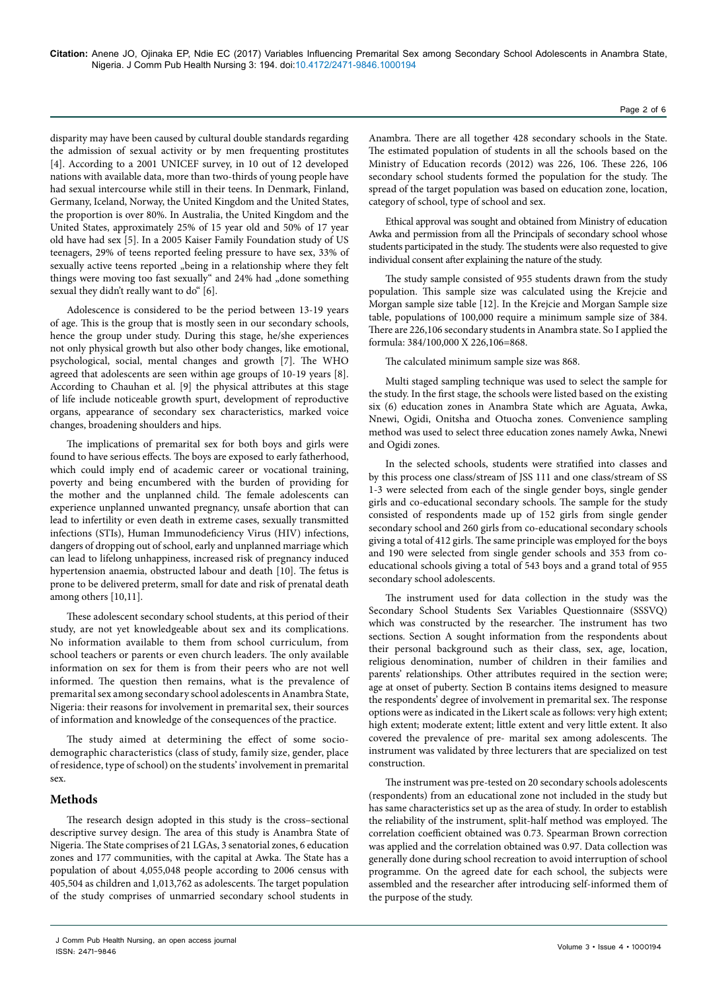**Citation:** Anene JO, Ojinaka EP, Ndie EC (2017) Variables Influencing Premarital Sex among Secondary School Adolescents in Anambra State, Nigeria. J Comm Pub Health Nursing 3: 194. doi:10.4172/2471-9846.1000194

disparity may have been caused by cultural double standards regarding the admission of sexual activity or by men frequenting prostitutes [4]. According to a 2001 UNICEF survey, in 10 out of 12 developed nations with available data, more than two-thirds of young people have had sexual intercourse while still in their teens. In Denmark, Finland, Germany, Iceland, Norway, the United Kingdom and the United States, the proportion is over 80%. In Australia, the United Kingdom and the United States, approximately 25% of 15 year old and 50% of 17 year old have had sex [5]. In a 2005 Kaiser Family Foundation study of US teenagers, 29% of teens reported feeling pressure to have sex, 33% of sexually active teens reported "being in a relationship where they felt things were moving too fast sexually" and 24% had "done something sexual they didn't really want to do" [6].

Adolescence is considered to be the period between 13-19 years of age. This is the group that is mostly seen in our secondary schools, hence the group under study. During this stage, he/she experiences not only physical growth but also other body changes, like emotional, psychological, social, mental changes and growth [7]. The WHO agreed that adolescents are seen within age groups of 10-19 years [8]. According to Chauhan et al. [9] the physical attributes at this stage of life include noticeable growth spurt, development of reproductive organs, appearance of secondary sex characteristics, marked voice changes, broadening shoulders and hips.

The implications of premarital sex for both boys and girls were found to have serious effects. The boys are exposed to early fatherhood, which could imply end of academic career or vocational training, poverty and being encumbered with the burden of providing for the mother and the unplanned child. The female adolescents can experience unplanned unwanted pregnancy, unsafe abortion that can lead to infertility or even death in extreme cases, sexually transmitted infections (STIs), Human Immunodeficiency Virus (HIV) infections, dangers of dropping out of school, early and unplanned marriage which can lead to lifelong unhappiness, increased risk of pregnancy induced hypertension anaemia, obstructed labour and death [10]. The fetus is prone to be delivered preterm, small for date and risk of prenatal death among others [10,11].

These adolescent secondary school students, at this period of their study, are not yet knowledgeable about sex and its complications. No information available to them from school curriculum, from school teachers or parents or even church leaders. The only available information on sex for them is from their peers who are not well informed. The question then remains, what is the prevalence of premarital sex among secondary school adolescents in Anambra State, Nigeria: their reasons for involvement in premarital sex, their sources of information and knowledge of the consequences of the practice.

The study aimed at determining the effect of some sociodemographic characteristics (class of study, family size, gender, place of residence, type of school) on the students' involvement in premarital sex.

## **Methods**

The research design adopted in this study is the cross–sectional descriptive survey design. The area of this study is Anambra State of Nigeria. The State comprises of 21 LGAs, 3 senatorial zones, 6 education zones and 177 communities, with the capital at Awka. The State has a population of about 4,055,048 people according to 2006 census with 405,504 as children and 1,013,762 as adolescents. The target population of the study comprises of unmarried secondary school students in

Anambra. There are all together 428 secondary schools in the State. The estimated population of students in all the schools based on the Ministry of Education records (2012) was 226, 106. These 226, 106 secondary school students formed the population for the study. The spread of the target population was based on education zone, location, category of school, type of school and sex.

Ethical approval was sought and obtained from Ministry of education Awka and permission from all the Principals of secondary school whose students participated in the study. The students were also requested to give individual consent after explaining the nature of the study.

The study sample consisted of 955 students drawn from the study population. This sample size was calculated using the Krejcie and Morgan sample size table [12]. In the Krejcie and Morgan Sample size table, populations of 100,000 require a minimum sample size of 384. There are 226,106 secondary students in Anambra state. So I applied the formula: 384/100,000 X 226,106=868.

The calculated minimum sample size was 868.

Multi staged sampling technique was used to select the sample for the study. In the first stage, the schools were listed based on the existing six (6) education zones in Anambra State which are Aguata, Awka, Nnewi, Ogidi, Onitsha and Otuocha zones. Convenience sampling method was used to select three education zones namely Awka, Nnewi and Ogidi zones.

In the selected schools, students were stratified into classes and by this process one class/stream of JSS 111 and one class/stream of SS 1-3 were selected from each of the single gender boys, single gender girls and co-educational secondary schools. The sample for the study consisted of respondents made up of 152 girls from single gender secondary school and 260 girls from co-educational secondary schools giving a total of 412 girls. The same principle was employed for the boys and 190 were selected from single gender schools and 353 from coeducational schools giving a total of 543 boys and a grand total of 955 secondary school adolescents.

The instrument used for data collection in the study was the Secondary School Students Sex Variables Questionnaire (SSSVQ) which was constructed by the researcher. The instrument has two sections. Section A sought information from the respondents about their personal background such as their class, sex, age, location, religious denomination, number of children in their families and parents' relationships. Other attributes required in the section were; age at onset of puberty. Section B contains items designed to measure the respondents' degree of involvement in premarital sex. The response options were as indicated in the Likert scale as follows: very high extent; high extent; moderate extent; little extent and very little extent. It also covered the prevalence of pre- marital sex among adolescents. The instrument was validated by three lecturers that are specialized on test construction.

The instrument was pre-tested on 20 secondary schools adolescents (respondents) from an educational zone not included in the study but has same characteristics set up as the area of study. In order to establish the reliability of the instrument, split-half method was employed. The correlation coefficient obtained was 0.73. Spearman Brown correction was applied and the correlation obtained was 0.97. Data collection was generally done during school recreation to avoid interruption of school programme. On the agreed date for each school, the subjects were assembled and the researcher after introducing self-informed them of the purpose of the study.

J Comm Pub Health Nursing, an open access journal ISSN: 2471-9846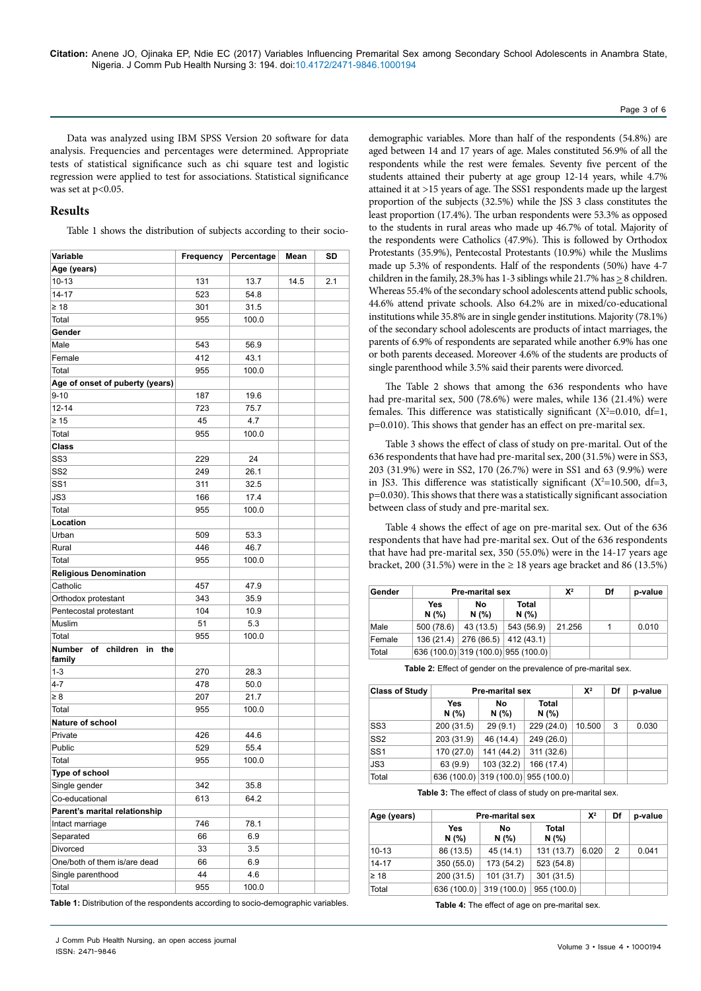## Page 3 of 6

Data was analyzed using IBM SPSS Version 20 software for data analysis. Frequencies and percentages were determined. Appropriate tests of statistical significance such as chi square test and logistic regression were applied to test for associations. Statistical significance was set at p<0.05.

# **Results**

Table 1 shows the distribution of subjects according to their socio-

| Variable                                     | <b>Frequency</b> | Percentage | Mean | SD  |
|----------------------------------------------|------------------|------------|------|-----|
| Age (years)                                  |                  |            |      |     |
| $10 - 13$                                    | 131              | 13.7       | 14.5 | 2.1 |
| $14 - 17$                                    | 523              | 54.8       |      |     |
| $\geq 18$                                    | 301              | 31.5       |      |     |
| Total                                        | 955              | 100.0      |      |     |
| Gender                                       |                  |            |      |     |
| Male                                         | 543              | 56.9       |      |     |
| Female                                       | 412              | 43.1       |      |     |
| Total                                        | 955              | 100.0      |      |     |
| Age of onset of puberty (years)              |                  |            |      |     |
| $9 - 10$                                     | 187              | 19.6       |      |     |
| $12 - 14$                                    | 723              | 75.7       |      |     |
| $\geq 15$                                    | 45               | 4.7        |      |     |
| Total                                        | 955              | 100.0      |      |     |
| <b>Class</b>                                 |                  |            |      |     |
| SS <sub>3</sub>                              | 229              | 24         |      |     |
| SS <sub>2</sub>                              | 249              | 26.1       |      |     |
| SS <sub>1</sub>                              | 311              | 32.5       |      |     |
| JS3                                          | 166              | 17.4       |      |     |
| Total                                        | 955              | 100.0      |      |     |
| Location                                     |                  |            |      |     |
| Urban                                        | 509              | 53.3       |      |     |
| Rural                                        | 446              | 46.7       |      |     |
| Total                                        | 955              | 100.0      |      |     |
| <b>Religious Denomination</b>                |                  |            |      |     |
| Catholic                                     | 457              | 47.9       |      |     |
| Orthodox protestant                          | 343              | 35.9       |      |     |
| Pentecostal protestant                       | 104              | 10.9       |      |     |
| Muslim                                       | 51               | 5.3        |      |     |
| Total                                        | 955              | 100.0      |      |     |
| Number<br>of children<br>in<br>the<br>family |                  |            |      |     |
| $1 - 3$                                      | 270              | 28.3       |      |     |
| $4 - 7$                                      | 478              | 50.0       |      |     |
| $\geq 8$                                     | 207              | 21.7       |      |     |
| Total                                        | 955              | 100.0      |      |     |
| Nature of school                             |                  |            |      |     |
| Private                                      | 426              | 44.6       |      |     |
| Public                                       | 529              | 55.4       |      |     |
| Total                                        | 955              | 100.0      |      |     |
| Type of school                               |                  |            |      |     |
| Single gender                                | 342              | 35.8       |      |     |
| Co-educational                               | 613              | 64.2       |      |     |
| Parent's marital relationship                |                  |            |      |     |
| Intact marriage                              | 746              | 78.1       |      |     |
| Separated                                    | 66               | 6.9        |      |     |
| Divorced                                     | 33               | 3.5        |      |     |
| One/both of them is/are dead                 | 66               | 6.9        |      |     |
| Single parenthood                            | 44               | 4.6        |      |     |
| Total                                        | 955              | 100.0      |      |     |

**Table 1:** Distribution of the respondents according to socio-demographic variables.

demographic variables. More than half of the respondents (54.8%) are aged between 14 and 17 years of age. Males constituted 56.9% of all the respondents while the rest were females. Seventy five percent of the students attained their puberty at age group 12-14 years, while 4.7% attained it at >15 years of age. The SSS1 respondents made up the largest proportion of the subjects (32.5%) while the JSS 3 class constitutes the least proportion (17.4%). The urban respondents were 53.3% as opposed to the students in rural areas who made up 46.7% of total. Majority of the respondents were Catholics (47.9%). This is followed by Orthodox Protestants (35.9%), Pentecostal Protestants (10.9%) while the Muslims made up 5.3% of respondents. Half of the respondents (50%) have 4-7 children in the family, 28.3% has 1-3 siblings while 21.7% has  $\geq$  8 children. Whereas 55.4% of the secondary school adolescents attend public schools, 44.6% attend private schools. Also 64.2% are in mixed/co-educational institutions while 35.8% are in single gender institutions. Majority (78.1%) of the secondary school adolescents are products of intact marriages, the parents of 6.9% of respondents are separated while another 6.9% has one or both parents deceased. Moreover 4.6% of the students are products of single parenthood while 3.5% said their parents were divorced.

The Table 2 shows that among the 636 respondents who have had pre-marital sex, 500 (78.6%) were males, while 136 (21.4%) were females. This difference was statistically significant  $(X^2=0.010, df=1,$ p=0.010). This shows that gender has an effect on pre-marital sex.

Table 3 shows the effect of class of study on pre-marital. Out of the 636 respondents that have had pre-marital sex, 200 (31.5%) were in SS3, 203 (31.9%) were in SS2, 170 (26.7%) were in SS1 and 63 (9.9%) were in JS3. This difference was statistically significant  $(X^2=10.500, df=3,$ p=0.030). This shows that there was a statistically significant association between class of study and pre-marital sex.

Table 4 shows the effect of age on pre-marital sex. Out of the 636 respondents that have had pre-marital sex. Out of the 636 respondents that have had pre-marital sex, 350 (55.0%) were in the 14-17 years age bracket, 200 (31.5%) were in the  $\geq$  18 years age bracket and 86 (13.5%)

| Gender |              | <b>Pre-marital sex</b> |                                     | $X^2$  | Df | p-value |
|--------|--------------|------------------------|-------------------------------------|--------|----|---------|
|        | Yes<br>N(% ) | No<br>N(% )            | Total<br>N(% )                      |        |    |         |
| Male   | 500 (78.6)   | 43 (13.5)              | 543 (56.9)                          | 21.256 |    | 0.010   |
| Female |              | $136(21.4)$ 276 (86.5) | 412 (43.1)                          |        |    |         |
| Total  |              |                        | 636 (100.0) 319 (100.0) 955 (100.0) |        |    |         |

| <b>Class of Study</b> |                     | <b>Pre-marital sex</b> | $X^2$                               | Df     | p-value |       |
|-----------------------|---------------------|------------------------|-------------------------------------|--------|---------|-------|
|                       | <b>Yes</b><br>N(% ) | No<br>N(% )            | Total<br>N (%)                      |        |         |       |
| SS <sub>3</sub>       | 200 (31.5)          | 29(9.1)                | 229 (24.0)                          | 10.500 | 3       | 0.030 |
| SS <sub>2</sub>       | 203 (31.9)          | 46 (14.4)              | 249 (26.0)                          |        |         |       |
| SS <sub>1</sub>       | 170 (27.0)          | 141 (44.2)             | 311 (32.6)                          |        |         |       |
| JS3                   | 63 (9.9)            | 103 (32.2)             | 166 (17.4)                          |        |         |       |
| Total                 |                     |                        | 636 (100.0) 319 (100.0) 955 (100.0) |        |         |       |

**Table 3:** The effect of class of study on pre-marital sex.

| Age (years) |              | <b>Pre-marital sex</b> |                |       |   | p-value |
|-------------|--------------|------------------------|----------------|-------|---|---------|
|             | Yes<br>N(% ) | No<br>N(%)             | Total<br>N (%) |       |   |         |
| $10 - 13$   | 86 (13.5)    | 45 (14.1)              | 131 (13.7)     | 6.020 | 2 | 0.041   |
| $14 - 17$   | 350 (55.0)   | 173 (54.2)             | 523 (54.8)     |       |   |         |
| $\geq 18$   | 200 (31.5)   | 101 (31.7)             | 301 (31.5)     |       |   |         |
| Total       | 636 (100.0)  | 319 (100.0)            | 955 (100.0)    |       |   |         |

**Table 4:** The effect of age on pre-marital sex.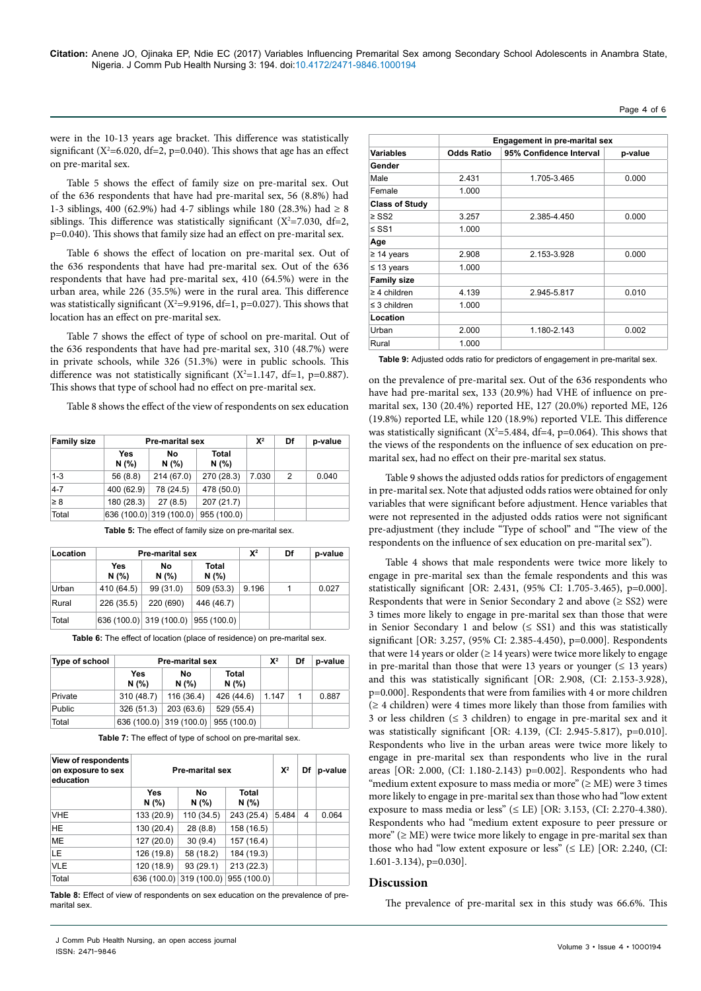## Page 4 of 6

were in the 10-13 years age bracket. This difference was statistically significant (X<sup>2</sup>=6.020, df=2, p=0.040). This shows that age has an effect on pre-marital sex.

Table 5 shows the effect of family size on pre-marital sex. Out of the 636 respondents that have had pre-marital sex, 56 (8.8%) had 1-3 siblings, 400 (62.9%) had 4-7 siblings while 180 (28.3%) had ≥ 8 siblings. This difference was statistically significant  $(X^2=7.030, df=2,$ p=0.040). This shows that family size had an effect on pre-marital sex.

Table 6 shows the effect of location on pre-marital sex. Out of the 636 respondents that have had pre-marital sex. Out of the 636 respondents that have had pre-marital sex, 410 (64.5%) were in the urban area, while 226 (35.5%) were in the rural area. This difference was statistically significant ( $X^2$ =9.9196, df=1, p=0.027). This shows that location has an effect on pre-marital sex.

Table 7 shows the effect of type of school on pre-marital. Out of the 636 respondents that have had pre-marital sex, 310 (48.7%) were in private schools, while 326 (51.3%) were in public schools. This difference was not statistically significant  $(X^2=1.147, df=1, p=0.887)$ . This shows that type of school had no effect on pre-marital sex.

Table 8 shows the effect of the view of respondents on sex education

| <b>Family size</b> |              | <b>Pre-marital sex</b> |                | $X^2$ | Df             | p-value |
|--------------------|--------------|------------------------|----------------|-------|----------------|---------|
|                    | Yes<br>N(% ) | No<br>N(% )            | Total<br>N(% ) |       |                |         |
| $1 - 3$            | 56(8.8)      | 214 (67.0)             | 270 (28.3)     | 7.030 | $\overline{2}$ | 0.040   |
| $4 - 7$            | 400 (62.9)   | 78 (24.5)              | 478 (50.0)     |       |                |         |
| $\geq 8$           | 180 (28.3)   | 27(8.5)                | 207 (21.7)     |       |                |         |
| Total              |              | 636(100.0)319(100.0)   | 955 (100.0)    |       |                |         |

**Table 5:** The effect of family size on pre-marital sex.

| Location | <b>Pre-marital sex</b> |                         |                | X <sup>2</sup> | Df | p-value |
|----------|------------------------|-------------------------|----------------|----------------|----|---------|
|          | Yes<br>N(%)            | No<br>N(%)              | Total<br>N(% ) |                |    |         |
| Urban    | 410 (64.5)             | 99 (31.0)               | 509 (53.3)     | 9.196          |    | 0.027   |
| Rural    | 226 (35.5)             | 220 (690)               | 446 (46.7)     |                |    |         |
| Total    |                        | 636 (100.0) 319 (100.0) | 955(100.0)     |                |    |         |

**Table 6:** The effect of location (place of residence) on pre-marital sex.

| Type of school |              | <b>Pre-marital sex</b>  |                       | $X^2$ | Df | p-value |
|----------------|--------------|-------------------------|-----------------------|-------|----|---------|
|                | Yes<br>N(% ) | No<br>N(% )             | <b>Total</b><br>N(% ) |       |    |         |
| Private        | 310 (48.7)   | 116 (36.4)              | 426 (44.6)            | 1.147 |    | 0.887   |
| Public         | 326(51.3)    | 203 (63.6)              | 529 (55.4)            |       |    |         |
| Total          |              | 636 (100.0) 319 (100.0) | 955 (100.0)           |       |    |         |

**Table 7:** The effect of type of school on pre-marital sex.

| View of respondents<br>on exposure to sex<br>education |              | <b>Pre-marital sex</b>  |                | $X^2$ | Df | p-value |
|--------------------------------------------------------|--------------|-------------------------|----------------|-------|----|---------|
|                                                        | Yes<br>N (%) | No<br>N(% )             | Total<br>N(% ) |       |    |         |
| <b>VHE</b>                                             | 133 (20.9)   | 110 (34.5)              | 243 (25.4)     | 5.484 | 4  | 0.064   |
| <b>HE</b>                                              | 130 (20.4)   | 28(8.8)                 | 158 (16.5)     |       |    |         |
| <b>ME</b>                                              | 127(20.0)    | 30(9.4)                 | 157 (16.4)     |       |    |         |
| <b>LE</b>                                              | 126 (19.8)   | 58 (18.2)               | 184 (19.3)     |       |    |         |
| <b>VLE</b>                                             | 120 (18.9)   | 93(29.1)                | 213 (22.3)     |       |    |         |
| Total                                                  |              | 636 (100.0) 319 (100.0) | 955 (100.0)    |       |    |         |

**Table 8:** Effect of view of respondents on sex education on the prevalence of premarital sex.

|                       | <b>Engagement in pre-marital sex</b> |                         |         |  |  |  |  |
|-----------------------|--------------------------------------|-------------------------|---------|--|--|--|--|
| Variables             | <b>Odds Ratio</b>                    | 95% Confidence Interval | p-value |  |  |  |  |
| Gender                |                                      |                         |         |  |  |  |  |
| Male                  | 2.431                                | 1.705-3.465             | 0.000   |  |  |  |  |
| Female                | 1.000                                |                         |         |  |  |  |  |
| <b>Class of Study</b> |                                      |                         |         |  |  |  |  |
| $\geq$ SS2            | 3.257                                | 2.385-4.450             | 0.000   |  |  |  |  |
| ≤ SS1                 | 1.000                                |                         |         |  |  |  |  |
| Age                   |                                      |                         |         |  |  |  |  |
| $\geq$ 14 years       | 2.908                                | 2.153-3.928             | 0.000   |  |  |  |  |
| $\leq$ 13 years       | 1.000                                |                         |         |  |  |  |  |
| <b>Family size</b>    |                                      |                         |         |  |  |  |  |
| $\geq$ 4 children     | 4.139                                | 2.945-5.817             | 0.010   |  |  |  |  |
| $\leq$ 3 children     | 1.000                                |                         |         |  |  |  |  |
| Location              |                                      |                         |         |  |  |  |  |
| Urban                 | 2.000                                | 1.180-2.143             | 0.002   |  |  |  |  |
| Rural                 | 1.000                                |                         |         |  |  |  |  |

**Table 9:** Adjusted odds ratio for predictors of engagement in pre-marital sex.

on the prevalence of pre-marital sex. Out of the 636 respondents who have had pre-marital sex, 133 (20.9%) had VHE of influence on premarital sex, 130 (20.4%) reported HE, 127 (20.0%) reported ME, 126 (19.8%) reported LE, while 120 (18.9%) reported VLE. This difference was statistically significant ( $X^2$ =5.484, df=4, p=0.064). This shows that the views of the respondents on the influence of sex education on premarital sex, had no effect on their pre-marital sex status.

Table 9 shows the adjusted odds ratios for predictors of engagement in pre-marital sex. Note that adjusted odds ratios were obtained for only variables that were significant before adjustment. Hence variables that were not represented in the adjusted odds ratios were not significant pre-adjustment (they include "Type of school" and "The view of the respondents on the influence of sex education on pre-marital sex").

Table 4 shows that male respondents were twice more likely to engage in pre-marital sex than the female respondents and this was statistically significant [OR: 2.431, (95% CI: 1.705-3.465), p=0.000]. Respondents that were in Senior Secondary 2 and above  $(\geq$  SS2) were 3 times more likely to engage in pre-marital sex than those that were in Senior Secondary 1 and below  $(\leq$  SS1) and this was statistically significant [OR: 3.257, (95% CI: 2.385-4.450), p=0.000]. Respondents that were 14 years or older ( $\geq$  14 years) were twice more likely to engage in pre-marital than those that were 13 years or younger ( $\leq 13$  years) and this was statistically significant [OR: 2.908, (CI: 2.153-3.928), p=0.000]. Respondents that were from families with 4 or more children (≥ 4 children) were 4 times more likely than those from families with 3 or less children ( $\leq$  3 children) to engage in pre-marital sex and it was statistically significant [OR: 4.139, (CI: 2.945-5.817), p=0.010]. Respondents who live in the urban areas were twice more likely to engage in pre-marital sex than respondents who live in the rural areas [OR: 2.000, (CI: 1.180-2.143) p=0.002]. Respondents who had "medium extent exposure to mass media or more" ( $\geq$  ME) were 3 times more likely to engage in pre-marital sex than those who had "low extent exposure to mass media or less" ( $\leq$  LE) [OR: 3.153, (CI: 2.270-4.380). Respondents who had "medium extent exposure to peer pressure or more" (≥ ME) were twice more likely to engage in pre-marital sex than those who had "low extent exposure or less" ( $\leq$  LE) [OR: 2.240, (CI: 1.601-3.134), p=0.030].

#### **Discussion**

The prevalence of pre-marital sex in this study was 66.6%. This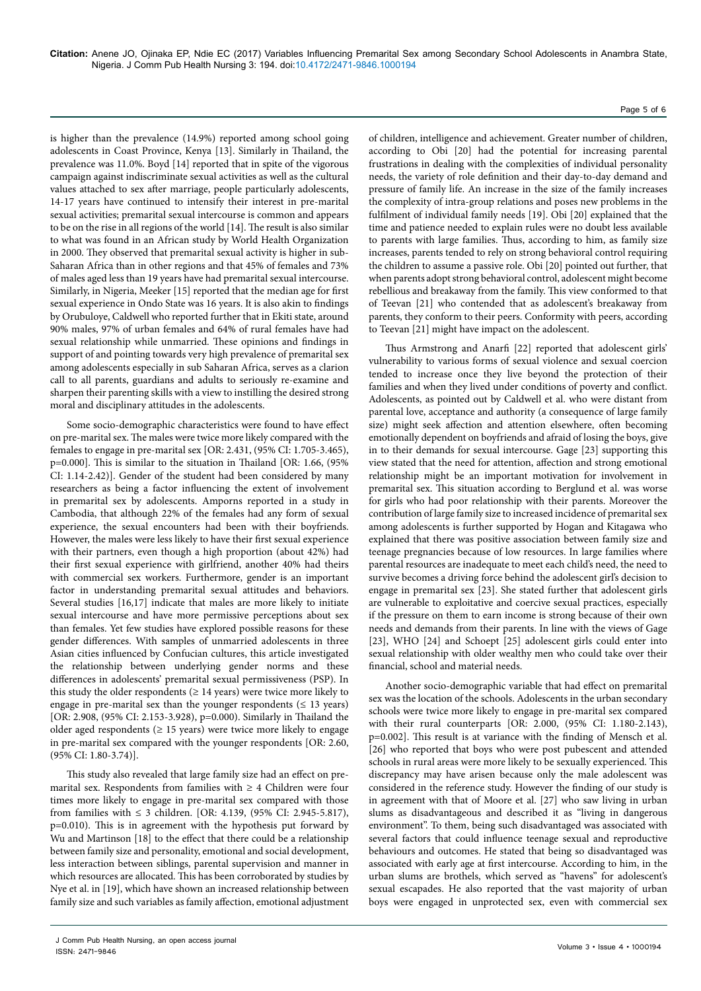is higher than the prevalence (14.9%) reported among school going adolescents in Coast Province, Kenya [13]. Similarly in Thailand, the prevalence was 11.0%. Boyd [14] reported that in spite of the vigorous campaign against indiscriminate sexual activities as well as the cultural values attached to sex after marriage, people particularly adolescents, 14-17 years have continued to intensify their interest in pre-marital sexual activities; premarital sexual intercourse is common and appears to be on the rise in all regions of the world [14]. The result is also similar to what was found in an African study by World Health Organization in 2000. They observed that premarital sexual activity is higher in sub-Saharan Africa than in other regions and that 45% of females and 73% of males aged less than 19 years have had premarital sexual intercourse. Similarly, in Nigeria, Meeker [15] reported that the median age for first sexual experience in Ondo State was 16 years. It is also akin to findings by Orubuloye, Caldwell who reported further that in Ekiti state, around 90% males, 97% of urban females and 64% of rural females have had sexual relationship while unmarried. These opinions and findings in support of and pointing towards very high prevalence of premarital sex among adolescents especially in sub Saharan Africa, serves as a clarion call to all parents, guardians and adults to seriously re-examine and sharpen their parenting skills with a view to instilling the desired strong moral and disciplinary attitudes in the adolescents.

Some socio-demographic characteristics were found to have effect on pre-marital sex. The males were twice more likely compared with the females to engage in pre-marital sex [OR: 2.431, (95% CI: 1.705-3.465), p=0.000]. This is similar to the situation in Thailand [OR: 1.66, (95% CI: 1.14-2.42)]. Gender of the student had been considered by many researchers as being a factor influencing the extent of involvement in premarital sex by adolescents. Amporns reported in a study in Cambodia, that although 22% of the females had any form of sexual experience, the sexual encounters had been with their boyfriends. However, the males were less likely to have their first sexual experience with their partners, even though a high proportion (about 42%) had their first sexual experience with girlfriend, another 40% had theirs with commercial sex workers. Furthermore, gender is an important factor in understanding premarital sexual attitudes and behaviors. Several studies [16,17] indicate that males are more likely to initiate sexual intercourse and have more permissive perceptions about sex than females. Yet few studies have explored possible reasons for these gender differences. With samples of unmarried adolescents in three Asian cities influenced by Confucian cultures, this article investigated the relationship between underlying gender norms and these differences in adolescents' premarital sexual permissiveness (PSP). In this study the older respondents ( $\geq$  14 years) were twice more likely to engage in pre-marital sex than the younger respondents ( $\leq 13$  years) [OR: 2.908, (95% CI: 2.153-3.928), p=0.000). Similarly in Thailand the older aged respondents ( $\geq$  15 years) were twice more likely to engage in pre-marital sex compared with the younger respondents [OR: 2.60, (95% CI: 1.80-3.74)].

This study also revealed that large family size had an effect on premarital sex. Respondents from families with  $\geq 4$  Children were four times more likely to engage in pre-marital sex compared with those from families with ≤ 3 children. [OR: 4.139, (95% CI: 2.945-5.817), p=0.010). This is in agreement with the hypothesis put forward by Wu and Martinson [18] to the effect that there could be a relationship between family size and personality, emotional and social development, less interaction between siblings, parental supervision and manner in which resources are allocated. This has been corroborated by studies by Nye et al. in [19], which have shown an increased relationship between family size and such variables as family affection, emotional adjustment

of children, intelligence and achievement. Greater number of children, according to Obi [20] had the potential for increasing parental frustrations in dealing with the complexities of individual personality needs, the variety of role definition and their day-to-day demand and pressure of family life. An increase in the size of the family increases the complexity of intra-group relations and poses new problems in the fulfilment of individual family needs [19]. Obi [20] explained that the time and patience needed to explain rules were no doubt less available to parents with large families. Thus, according to him, as family size increases, parents tended to rely on strong behavioral control requiring the children to assume a passive role. Obi [20] pointed out further, that when parents adopt strong behavioral control, adolescent might become rebellious and breakaway from the family. This view conformed to that of Teevan [21] who contended that as adolescent's breakaway from parents, they conform to their peers. Conformity with peers, according to Teevan [21] might have impact on the adolescent.

Thus Armstrong and Anarfi [22] reported that adolescent girls' vulnerability to various forms of sexual violence and sexual coercion tended to increase once they live beyond the protection of their families and when they lived under conditions of poverty and conflict. Adolescents, as pointed out by Caldwell et al. who were distant from parental love, acceptance and authority (a consequence of large family size) might seek affection and attention elsewhere, often becoming emotionally dependent on boyfriends and afraid of losing the boys, give in to their demands for sexual intercourse. Gage [23] supporting this view stated that the need for attention, affection and strong emotional relationship might be an important motivation for involvement in premarital sex. This situation according to Berglund et al. was worse for girls who had poor relationship with their parents. Moreover the contribution of large family size to increased incidence of premarital sex among adolescents is further supported by Hogan and Kitagawa who explained that there was positive association between family size and teenage pregnancies because of low resources. In large families where parental resources are inadequate to meet each child's need, the need to survive becomes a driving force behind the adolescent girl's decision to engage in premarital sex [23]. She stated further that adolescent girls are vulnerable to exploitative and coercive sexual practices, especially if the pressure on them to earn income is strong because of their own needs and demands from their parents. In line with the views of Gage [23], WHO [24] and Schoept [25] adolescent girls could enter into sexual relationship with older wealthy men who could take over their financial, school and material needs.

Another socio-demographic variable that had effect on premarital sex was the location of the schools. Adolescents in the urban secondary schools were twice more likely to engage in pre-marital sex compared with their rural counterparts [OR: 2.000, (95% CI: 1.180-2.143), p=0.002]. This result is at variance with the finding of Mensch et al. [26] who reported that boys who were post pubescent and attended schools in rural areas were more likely to be sexually experienced. This discrepancy may have arisen because only the male adolescent was considered in the reference study. However the finding of our study is in agreement with that of Moore et al. [27] who saw living in urban slums as disadvantageous and described it as "living in dangerous environment". To them, being such disadvantaged was associated with several factors that could influence teenage sexual and reproductive behaviours and outcomes. He stated that being so disadvantaged was associated with early age at first intercourse. According to him, in the urban slums are brothels, which served as "havens" for adolescent's sexual escapades. He also reported that the vast majority of urban boys were engaged in unprotected sex, even with commercial sex